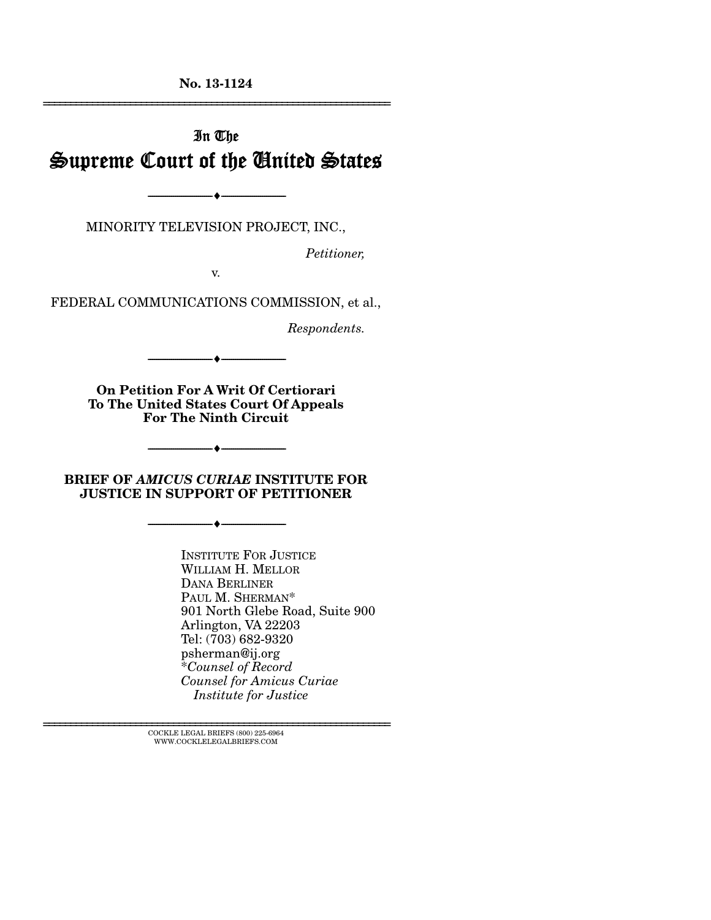**No. 13-1124**  ================================================================

# In The Supreme Court of the United States

MINORITY TELEVISION PROJECT, INC.,

 $- \bullet -$ 

*Petitioner,* 

v.

FEDERAL COMMUNICATIONS COMMISSION, et al.,

*Respondents.* 

**On Petition For A Writ Of Certiorari To The United States Court Of Appeals For The Ninth Circuit** 

 $\bullet$   $-$ 

**BRIEF OF** *AMICUS CURIAE* **INSTITUTE FOR JUSTICE IN SUPPORT OF PETITIONER** 

--------------------------------- ---------------------------------

--------------------------------- ---------------------------------

INSTITUTE FOR JUSTICE WILLIAM H. MELLOR DANA BERLINER PAUL M. SHERMAN\* 901 North Glebe Road, Suite 900 Arlington, VA 22203 Tel: (703) 682-9320 psherman@ij.org \**Counsel of Record Counsel for Amicus Curiae Institute for Justice* 

 $\textsc{COCKLE}$  LEGAL BRIEFS (800) 225-6964 WWW.COCKLELEGALBRIEFS.COM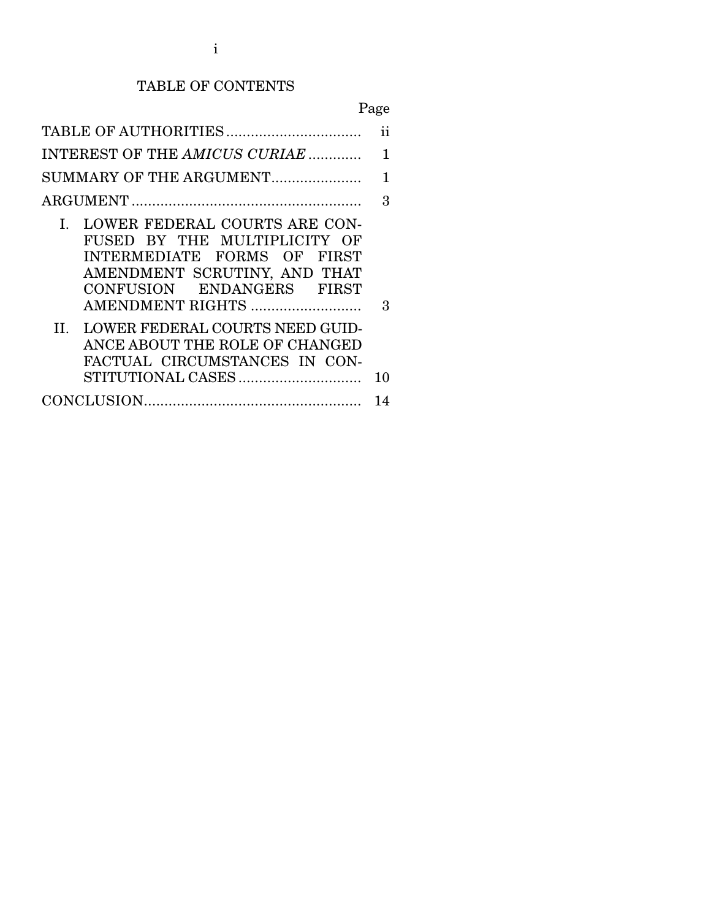## TABLE OF CONTENTS

|--|

|                                                                                                                                                                                                                                                              | ii |
|--------------------------------------------------------------------------------------------------------------------------------------------------------------------------------------------------------------------------------------------------------------|----|
| INTEREST OF THE AMICUS CURIAE                                                                                                                                                                                                                                | 1  |
| SUMMARY OF THE ARGUMENT                                                                                                                                                                                                                                      | 1  |
|                                                                                                                                                                                                                                                              | 3  |
| LOWER FEDERAL COURTS ARE CON-<br>L.<br>FUSED BY THE MULTIPLICITY OF<br>INTERMEDIATE FORMS OF FIRST<br>AMENDMENT SCRUTINY, AND THAT<br>CONFUSION ENDANGERS FIRST<br>AMENDMENT RIGHTS<br>II. LOWER FEDERAL COURTS NEED GUID-<br>ANCE ABOUT THE ROLE OF CHANGED | 3  |
| FACTUAL CIRCUMSTANCES IN CON-                                                                                                                                                                                                                                | 10 |
|                                                                                                                                                                                                                                                              | 14 |
|                                                                                                                                                                                                                                                              |    |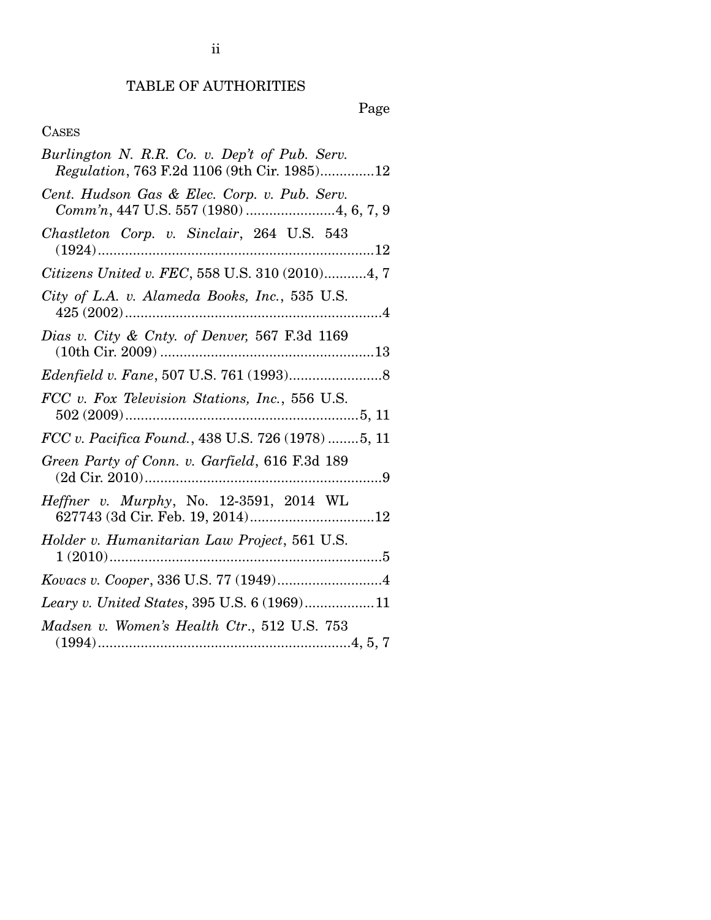# TABLE OF AUTHORITIES

Page

## CASES

| Burlington N. R.R. Co. v. Dep't of Pub. Serv.<br>Regulation, 763 F.2d 1106 (9th Cir. 1985)12 |
|----------------------------------------------------------------------------------------------|
| Cent. Hudson Gas & Elec. Corp. v. Pub. Serv.<br>Comm'n, 447 U.S. 557 (1980) 4, 6, 7, 9       |
| Chastleton Corp. v. Sinclair, 264 U.S. 543                                                   |
| Citizens United v. FEC, 558 U.S. 310 (2010)4, 7                                              |
| City of L.A. v. Alameda Books, Inc., 535 U.S.                                                |
| Dias v. City & Cnty. of Denver, 567 F.3d 1169                                                |
|                                                                                              |
| FCC v. Fox Television Stations, Inc., 556 U.S.                                               |
| FCC v. Pacifica Found., 438 U.S. 726 (1978) 5, 11                                            |
| Green Party of Conn. v. Garfield, 616 F.3d 189                                               |
| Heffner v. Murphy, No. 12-3591, 2014 WL                                                      |
| Holder v. Humanitarian Law Project, 561 U.S.                                                 |
|                                                                                              |
| Leary v. United States, 395 U.S. 6 (1969)11                                                  |
| Madsen v. Women's Health Ctr., 512 U.S. 753                                                  |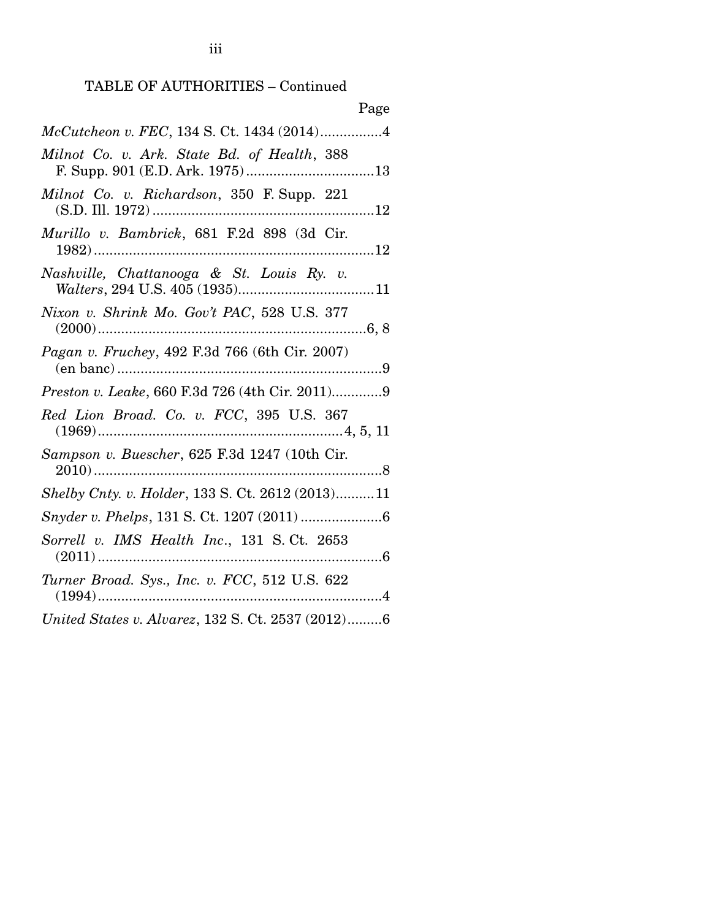## TABLE OF AUTHORITIES – Continued

| Page                                                    |
|---------------------------------------------------------|
| McCutcheon v. FEC, 134 S. Ct. 1434 (2014)4              |
| Milnot Co. v. Ark. State Bd. of Health, 388             |
| Milnot Co. v. Richardson, 350 F. Supp. 221              |
| Murillo v. Bambrick, 681 F.2d 898 (3d Cir.              |
| Nashville, Chattanooga & St. Louis Ry. v.               |
| Nixon v. Shrink Mo. Gov't PAC, 528 U.S. 377             |
| Pagan v. Fruchey, 492 F.3d 766 (6th Cir. 2007)          |
| <i>Preston v. Leake, 660 F.3d 726 (4th Cir. 2011)</i> 9 |
| Red Lion Broad. Co. v. FCC, 395 U.S. 367                |
| Sampson v. Buescher, 625 F.3d 1247 (10th Cir.           |
| Shelby Cnty. v. Holder, 133 S. Ct. 2612 (2013)11        |
|                                                         |
| Sorrell v. IMS Health Inc., 131 S.Ct. 2653<br>. 6       |
| Turner Broad. Sys., Inc. v. FCC, 512 U.S. 622           |
| United States v. Alvarez, 132 S. Ct. 2537 (2012)6       |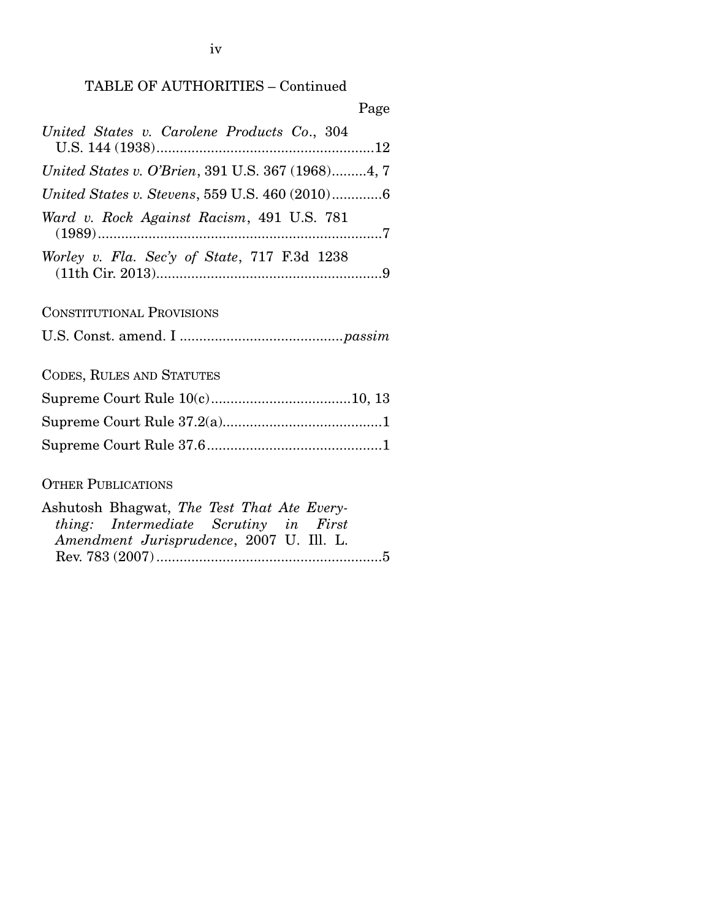### TABLE OF AUTHORITIES – Continued

| Page                                                  |
|-------------------------------------------------------|
| United States v. Carolene Products Co., 304           |
| United States v. O'Brien, 391 U.S. 367 (1968)4, 7     |
| <i>United States v. Stevens, 559 U.S. 460 (2010)6</i> |
| Ward v. Rock Against Racism, 491 U.S. 781             |
| Worley v. Fla. Sec'y of State, 717 F.3d 1238          |
| <b>CONSTITUTIONAL PROVISIONS</b>                      |

U.S. Const. amend. I .......................................... *passim*

CODES, RULES AND STATUTES

## OTHER PUBLICATIONS

| Ashutosh Bhagwat, The Test That Ate Every- |  |  |  |
|--------------------------------------------|--|--|--|
| thing: Intermediate Scrutiny in First      |  |  |  |
| Amendment Jurisprudence, 2007 U. Ill. L.   |  |  |  |
|                                            |  |  |  |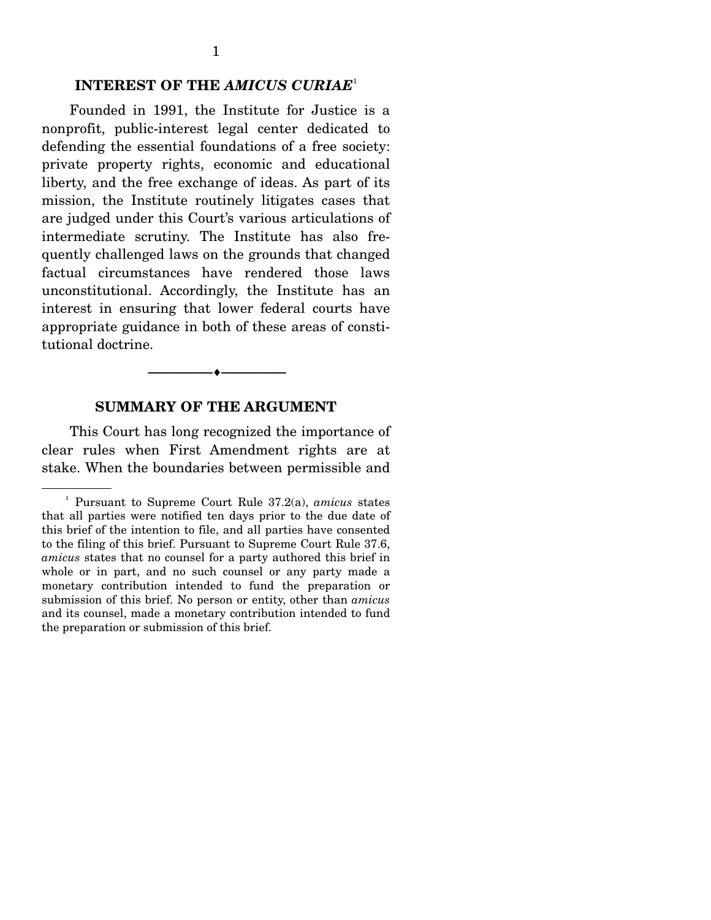#### **INTEREST OF THE** *AMICUS CURIAE*<sup>1</sup>

 Founded in 1991, the Institute for Justice is a nonprofit, public-interest legal center dedicated to defending the essential foundations of a free society: private property rights, economic and educational liberty, and the free exchange of ideas. As part of its mission, the Institute routinely litigates cases that are judged under this Court's various articulations of intermediate scrutiny. The Institute has also frequently challenged laws on the grounds that changed factual circumstances have rendered those laws unconstitutional. Accordingly, the Institute has an interest in ensuring that lower federal courts have appropriate guidance in both of these areas of constitutional doctrine.

#### **SUMMARY OF THE ARGUMENT**

--------------------------------- ---------------------------------

 This Court has long recognized the importance of clear rules when First Amendment rights are at stake. When the boundaries between permissible and

<sup>1</sup> Pursuant to Supreme Court Rule 37.2(a), *amicus* states that all parties were notified ten days prior to the due date of this brief of the intention to file, and all parties have consented to the filing of this brief. Pursuant to Supreme Court Rule 37.6, *amicus* states that no counsel for a party authored this brief in whole or in part, and no such counsel or any party made a monetary contribution intended to fund the preparation or submission of this brief. No person or entity, other than *amicus*  and its counsel, made a monetary contribution intended to fund the preparation or submission of this brief.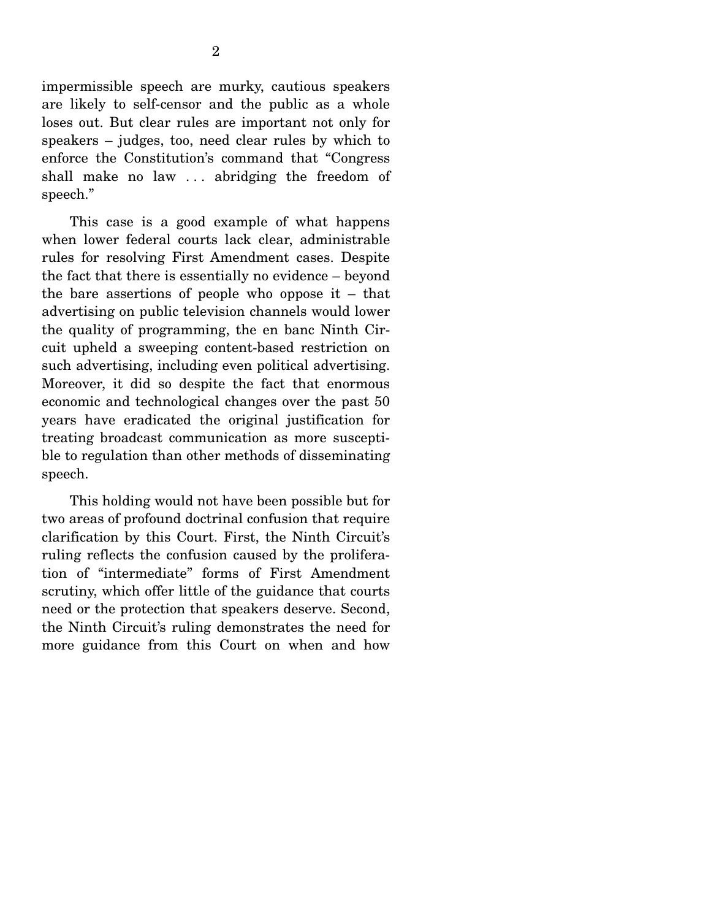impermissible speech are murky, cautious speakers are likely to self-censor and the public as a whole loses out. But clear rules are important not only for speakers – judges, too, need clear rules by which to enforce the Constitution's command that "Congress shall make no law . . . abridging the freedom of speech."

 This case is a good example of what happens when lower federal courts lack clear, administrable rules for resolving First Amendment cases. Despite the fact that there is essentially no evidence – beyond the bare assertions of people who oppose it – that advertising on public television channels would lower the quality of programming, the en banc Ninth Circuit upheld a sweeping content-based restriction on such advertising, including even political advertising. Moreover, it did so despite the fact that enormous economic and technological changes over the past 50 years have eradicated the original justification for treating broadcast communication as more susceptible to regulation than other methods of disseminating speech.

 This holding would not have been possible but for two areas of profound doctrinal confusion that require clarification by this Court. First, the Ninth Circuit's ruling reflects the confusion caused by the proliferation of "intermediate" forms of First Amendment scrutiny, which offer little of the guidance that courts need or the protection that speakers deserve. Second, the Ninth Circuit's ruling demonstrates the need for more guidance from this Court on when and how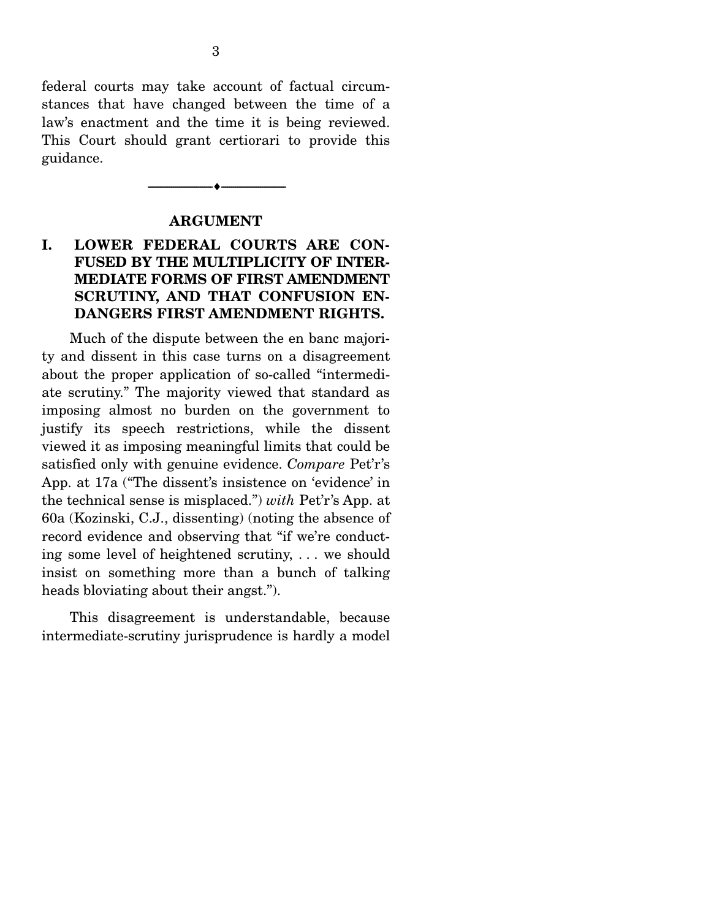federal courts may take account of factual circumstances that have changed between the time of a law's enactment and the time it is being reviewed. This Court should grant certiorari to provide this guidance.

#### **ARGUMENT**

--------------------------------- ---------------------------------

### **I. LOWER FEDERAL COURTS ARE CON-FUSED BY THE MULTIPLICITY OF INTER-MEDIATE FORMS OF FIRST AMENDMENT SCRUTINY, AND THAT CONFUSION EN-DANGERS FIRST AMENDMENT RIGHTS.**

 Much of the dispute between the en banc majority and dissent in this case turns on a disagreement about the proper application of so-called "intermediate scrutiny." The majority viewed that standard as imposing almost no burden on the government to justify its speech restrictions, while the dissent viewed it as imposing meaningful limits that could be satisfied only with genuine evidence. *Compare* Pet'r's App. at 17a ("The dissent's insistence on 'evidence' in the technical sense is misplaced.") *with* Pet'r's App. at 60a (Kozinski, C.J., dissenting) (noting the absence of record evidence and observing that "if we're conducting some level of heightened scrutiny, . . . we should insist on something more than a bunch of talking heads bloviating about their angst.").

 This disagreement is understandable, because intermediate-scrutiny jurisprudence is hardly a model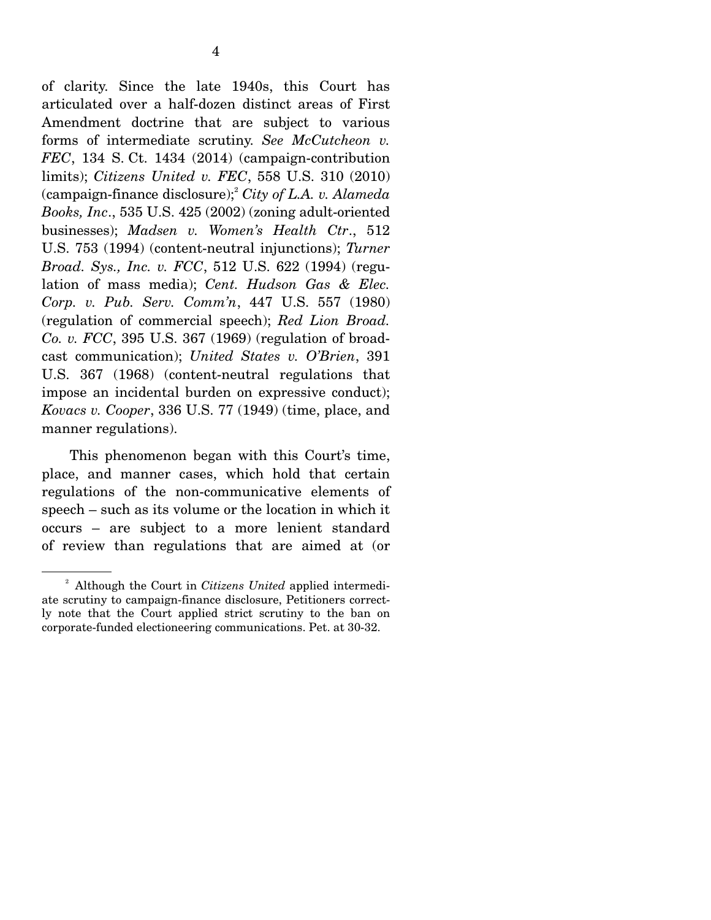of clarity. Since the late 1940s, this Court has articulated over a half-dozen distinct areas of First Amendment doctrine that are subject to various forms of intermediate scrutiny. *See McCutcheon v. FEC*, 134 S. Ct. 1434 (2014) (campaign-contribution limits); *Citizens United v. FEC*, 558 U.S. 310 (2010) (campaign-finance disclosure);2 *City of L.A. v. Alameda Books, Inc*., 535 U.S. 425 (2002) (zoning adult-oriented businesses); *Madsen v. Women's Health Ctr*., 512 U.S. 753 (1994) (content-neutral injunctions); *Turner Broad. Sys., Inc. v. FCC*, 512 U.S. 622 (1994) (regulation of mass media); *Cent. Hudson Gas & Elec. Corp. v. Pub. Serv. Comm'n*, 447 U.S. 557 (1980) (regulation of commercial speech); *Red Lion Broad. Co. v. FCC*, 395 U.S. 367 (1969) (regulation of broadcast communication); *United States v. O'Brien*, 391 U.S. 367 (1968) (content-neutral regulations that impose an incidental burden on expressive conduct); *Kovacs v. Cooper*, 336 U.S. 77 (1949) (time, place, and manner regulations).

 This phenomenon began with this Court's time, place, and manner cases, which hold that certain regulations of the non-communicative elements of speech – such as its volume or the location in which it occurs – are subject to a more lenient standard of review than regulations that are aimed at (or

<sup>2</sup> Although the Court in *Citizens United* applied intermediate scrutiny to campaign-finance disclosure, Petitioners correctly note that the Court applied strict scrutiny to the ban on corporate-funded electioneering communications. Pet. at 30-32.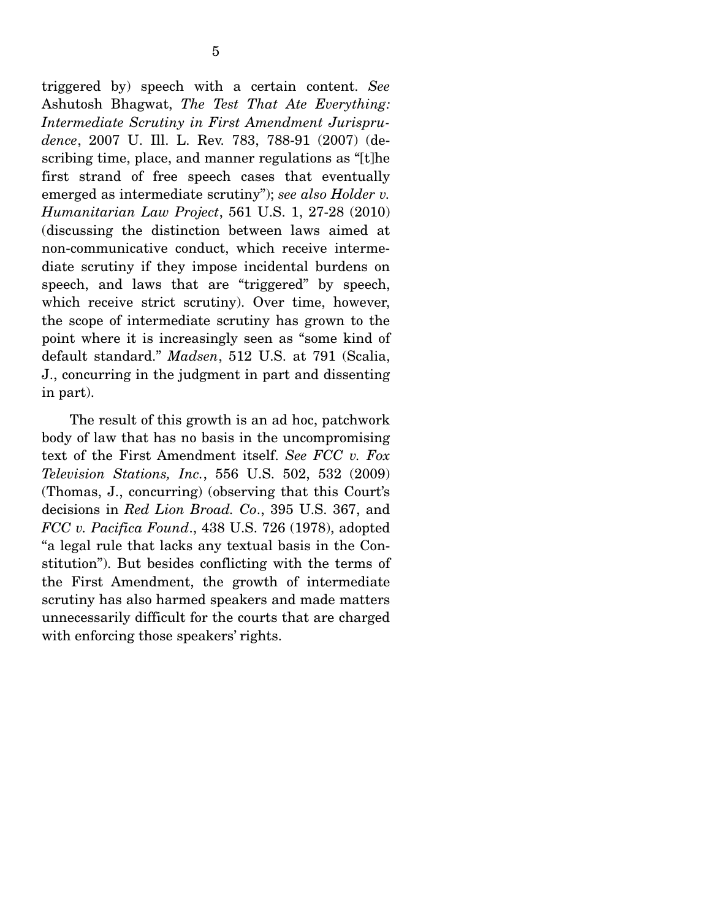triggered by) speech with a certain content. *See* Ashutosh Bhagwat, *The Test That Ate Everything: Intermediate Scrutiny in First Amendment Jurisprudence*, 2007 U. Ill. L. Rev. 783, 788-91 (2007) (describing time, place, and manner regulations as "[t]he first strand of free speech cases that eventually emerged as intermediate scrutiny"); *see also Holder v. Humanitarian Law Project*, 561 U.S. 1, 27-28 (2010) (discussing the distinction between laws aimed at non-communicative conduct, which receive intermediate scrutiny if they impose incidental burdens on speech, and laws that are "triggered" by speech, which receive strict scrutiny). Over time, however, the scope of intermediate scrutiny has grown to the point where it is increasingly seen as "some kind of default standard." *Madsen*, 512 U.S. at 791 (Scalia, J., concurring in the judgment in part and dissenting in part).

 The result of this growth is an ad hoc, patchwork body of law that has no basis in the uncompromising text of the First Amendment itself. *See FCC v. Fox Television Stations, Inc.*, 556 U.S. 502, 532 (2009) (Thomas, J., concurring) (observing that this Court's decisions in *Red Lion Broad. Co*., 395 U.S. 367, and *FCC v. Pacifica Found*., 438 U.S. 726 (1978), adopted "a legal rule that lacks any textual basis in the Constitution"). But besides conflicting with the terms of the First Amendment, the growth of intermediate scrutiny has also harmed speakers and made matters unnecessarily difficult for the courts that are charged with enforcing those speakers' rights.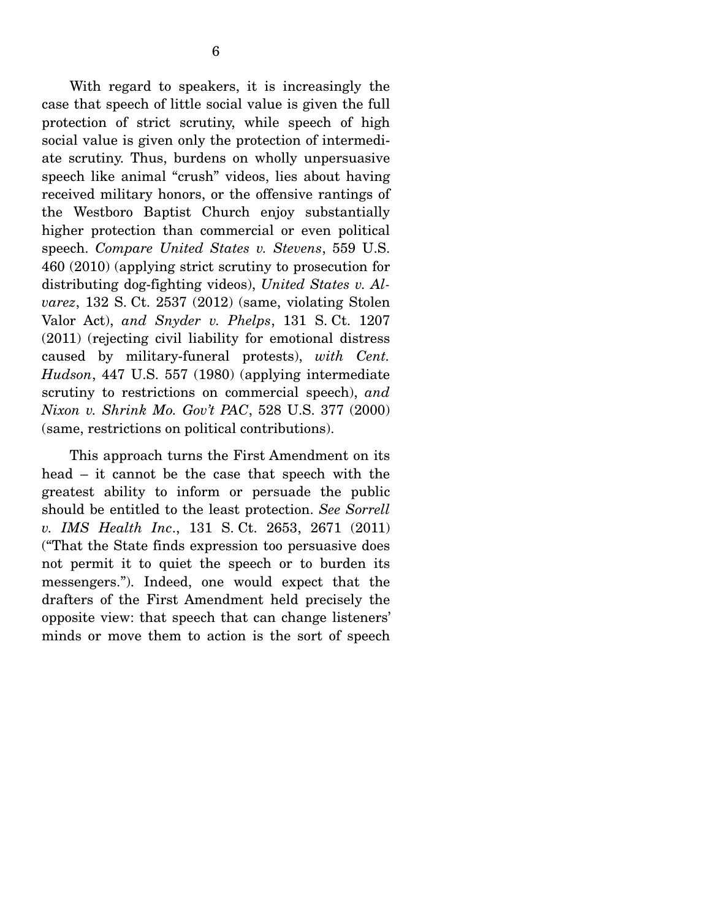With regard to speakers, it is increasingly the case that speech of little social value is given the full protection of strict scrutiny, while speech of high social value is given only the protection of intermediate scrutiny. Thus, burdens on wholly unpersuasive speech like animal "crush" videos, lies about having received military honors, or the offensive rantings of the Westboro Baptist Church enjoy substantially higher protection than commercial or even political speech. *Compare United States v. Stevens*, 559 U.S. 460 (2010) (applying strict scrutiny to prosecution for distributing dog-fighting videos), *United States v. Alvarez*, 132 S. Ct. 2537 (2012) (same, violating Stolen Valor Act), *and Snyder v. Phelps*, 131 S. Ct. 1207 (2011) (rejecting civil liability for emotional distress caused by military-funeral protests), *with Cent. Hudson*, 447 U.S. 557 (1980) (applying intermediate scrutiny to restrictions on commercial speech), *and Nixon v. Shrink Mo. Gov't PAC*, 528 U.S. 377 (2000) (same, restrictions on political contributions).

 This approach turns the First Amendment on its head – it cannot be the case that speech with the greatest ability to inform or persuade the public should be entitled to the least protection. *See Sorrell v. IMS Health Inc*., 131 S. Ct. 2653, 2671 (2011) ("That the State finds expression too persuasive does not permit it to quiet the speech or to burden its messengers."). Indeed, one would expect that the drafters of the First Amendment held precisely the opposite view: that speech that can change listeners' minds or move them to action is the sort of speech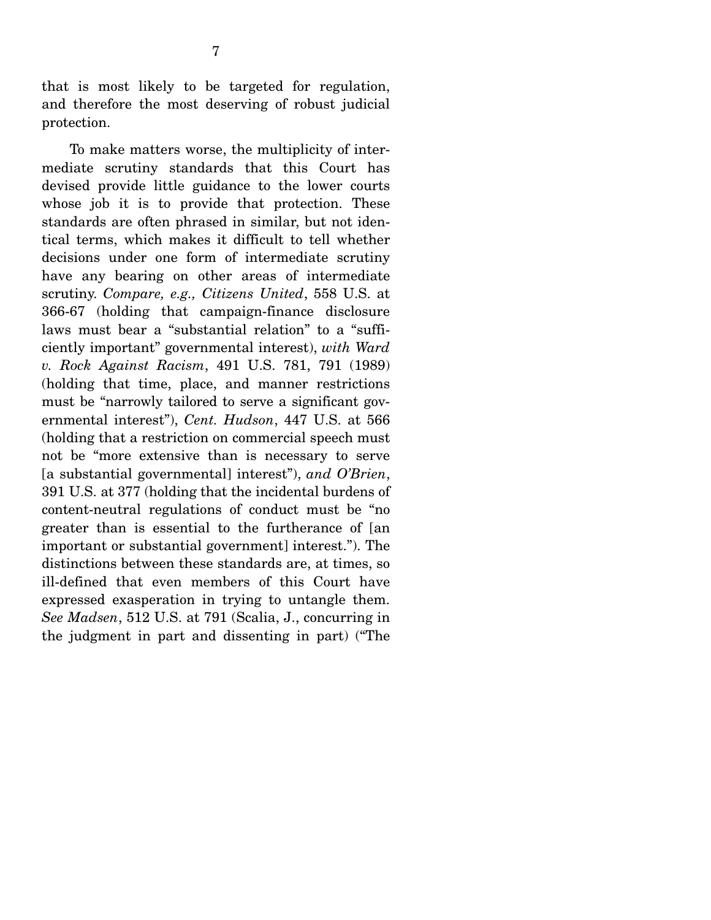that is most likely to be targeted for regulation, and therefore the most deserving of robust judicial protection.

 To make matters worse, the multiplicity of intermediate scrutiny standards that this Court has devised provide little guidance to the lower courts whose job it is to provide that protection. These standards are often phrased in similar, but not identical terms, which makes it difficult to tell whether decisions under one form of intermediate scrutiny have any bearing on other areas of intermediate scrutiny. *Compare, e.g., Citizens United*, 558 U.S. at 366-67 (holding that campaign-finance disclosure laws must bear a "substantial relation" to a "sufficiently important" governmental interest), *with Ward v. Rock Against Racism*, 491 U.S. 781, 791 (1989) (holding that time, place, and manner restrictions must be "narrowly tailored to serve a significant governmental interest"), *Cent. Hudson*, 447 U.S. at 566 (holding that a restriction on commercial speech must not be "more extensive than is necessary to serve [a substantial governmental] interest"), *and O'Brien*, 391 U.S. at 377 (holding that the incidental burdens of content-neutral regulations of conduct must be "no greater than is essential to the furtherance of [an important or substantial government] interest."). The distinctions between these standards are, at times, so ill-defined that even members of this Court have expressed exasperation in trying to untangle them. *See Madsen*, 512 U.S. at 791 (Scalia, J., concurring in the judgment in part and dissenting in part) ("The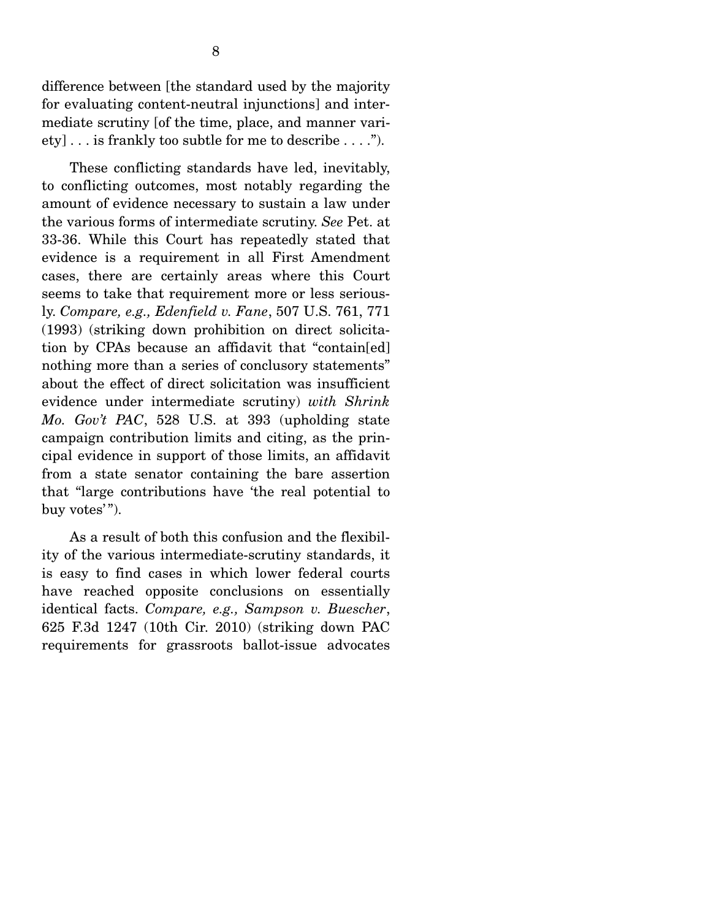difference between [the standard used by the majority for evaluating content-neutral injunctions] and intermediate scrutiny [of the time, place, and manner variety] . . . is frankly too subtle for me to describe . . . .").

 These conflicting standards have led, inevitably, to conflicting outcomes, most notably regarding the amount of evidence necessary to sustain a law under the various forms of intermediate scrutiny. *See* Pet. at 33-36. While this Court has repeatedly stated that evidence is a requirement in all First Amendment cases, there are certainly areas where this Court seems to take that requirement more or less seriously. *Compare, e.g., Edenfield v. Fane*, 507 U.S. 761, 771 (1993) (striking down prohibition on direct solicitation by CPAs because an affidavit that "contain[ed] nothing more than a series of conclusory statements" about the effect of direct solicitation was insufficient evidence under intermediate scrutiny) *with Shrink Mo. Gov't PAC*, 528 U.S. at 393 (upholding state campaign contribution limits and citing, as the principal evidence in support of those limits, an affidavit from a state senator containing the bare assertion that "large contributions have 'the real potential to buy votes'").

 As a result of both this confusion and the flexibility of the various intermediate-scrutiny standards, it is easy to find cases in which lower federal courts have reached opposite conclusions on essentially identical facts. *Compare, e.g., Sampson v. Buescher*, 625 F.3d 1247 (10th Cir. 2010) (striking down PAC requirements for grassroots ballot-issue advocates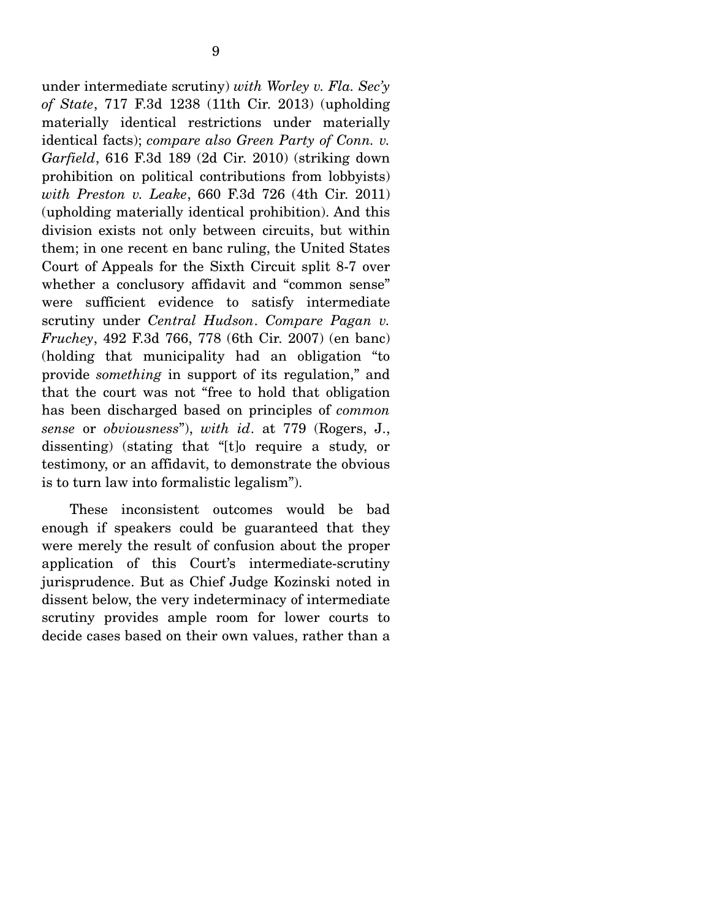under intermediate scrutiny) *with Worley v. Fla. Sec'y of State*, 717 F.3d 1238 (11th Cir. 2013) (upholding materially identical restrictions under materially identical facts); *compare also Green Party of Conn. v. Garfield*, 616 F.3d 189 (2d Cir. 2010) (striking down prohibition on political contributions from lobbyists) *with Preston v. Leake*, 660 F.3d 726 (4th Cir. 2011) (upholding materially identical prohibition). And this division exists not only between circuits, but within them; in one recent en banc ruling, the United States Court of Appeals for the Sixth Circuit split 8-7 over whether a conclusory affidavit and "common sense" were sufficient evidence to satisfy intermediate scrutiny under *Central Hudson*. *Compare Pagan v. Fruchey*, 492 F.3d 766, 778 (6th Cir. 2007) (en banc) (holding that municipality had an obligation "to provide *something* in support of its regulation," and that the court was not "free to hold that obligation has been discharged based on principles of *common sense* or *obviousness*"), *with id*. at 779 (Rogers, J., dissenting) (stating that "[t]o require a study, or testimony, or an affidavit, to demonstrate the obvious is to turn law into formalistic legalism").

 These inconsistent outcomes would be bad enough if speakers could be guaranteed that they were merely the result of confusion about the proper application of this Court's intermediate-scrutiny jurisprudence. But as Chief Judge Kozinski noted in dissent below, the very indeterminacy of intermediate scrutiny provides ample room for lower courts to decide cases based on their own values, rather than a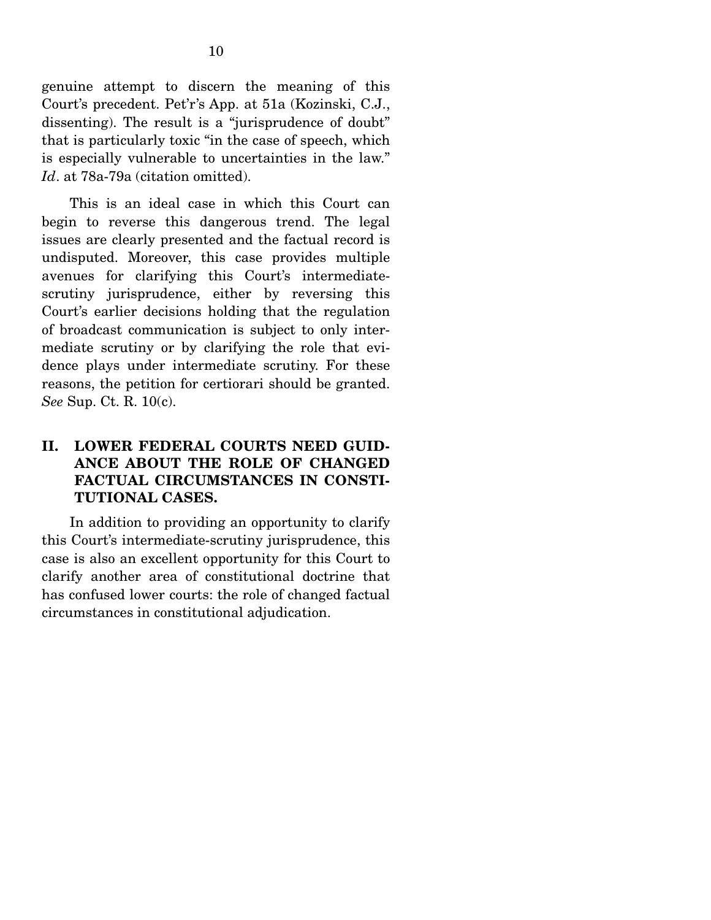genuine attempt to discern the meaning of this Court's precedent. Pet'r's App. at 51a (Kozinski, C.J., dissenting). The result is a "jurisprudence of doubt" that is particularly toxic "in the case of speech, which is especially vulnerable to uncertainties in the law." *Id*. at 78a-79a (citation omitted).

 This is an ideal case in which this Court can begin to reverse this dangerous trend. The legal issues are clearly presented and the factual record is undisputed. Moreover, this case provides multiple avenues for clarifying this Court's intermediatescrutiny jurisprudence, either by reversing this Court's earlier decisions holding that the regulation of broadcast communication is subject to only intermediate scrutiny or by clarifying the role that evidence plays under intermediate scrutiny. For these reasons, the petition for certiorari should be granted. *See* Sup. Ct. R. 10(c).

### **II. LOWER FEDERAL COURTS NEED GUID-ANCE ABOUT THE ROLE OF CHANGED FACTUAL CIRCUMSTANCES IN CONSTI-TUTIONAL CASES.**

 In addition to providing an opportunity to clarify this Court's intermediate-scrutiny jurisprudence, this case is also an excellent opportunity for this Court to clarify another area of constitutional doctrine that has confused lower courts: the role of changed factual circumstances in constitutional adjudication.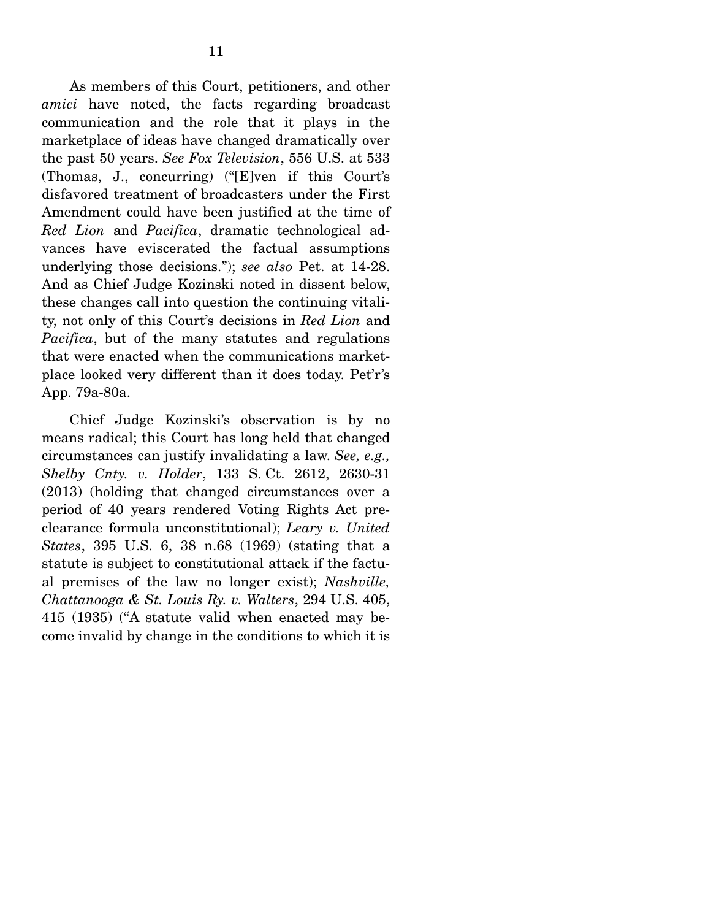As members of this Court, petitioners, and other *amici* have noted, the facts regarding broadcast communication and the role that it plays in the marketplace of ideas have changed dramatically over the past 50 years. *See Fox Television*, 556 U.S. at 533 (Thomas, J., concurring) ("[E]ven if this Court's disfavored treatment of broadcasters under the First Amendment could have been justified at the time of *Red Lion* and *Pacifica*, dramatic technological advances have eviscerated the factual assumptions underlying those decisions."); *see also* Pet. at 14-28. And as Chief Judge Kozinski noted in dissent below, these changes call into question the continuing vitality, not only of this Court's decisions in *Red Lion* and *Pacifica*, but of the many statutes and regulations that were enacted when the communications marketplace looked very different than it does today. Pet'r's App. 79a-80a.

 Chief Judge Kozinski's observation is by no means radical; this Court has long held that changed circumstances can justify invalidating a law. *See, e.g., Shelby Cnty. v. Holder*, 133 S. Ct. 2612, 2630-31 (2013) (holding that changed circumstances over a period of 40 years rendered Voting Rights Act preclearance formula unconstitutional); *Leary v. United States*, 395 U.S. 6, 38 n.68 (1969) (stating that a statute is subject to constitutional attack if the factual premises of the law no longer exist); *Nashville, Chattanooga & St. Louis Ry. v. Walters*, 294 U.S. 405, 415 (1935) ("A statute valid when enacted may become invalid by change in the conditions to which it is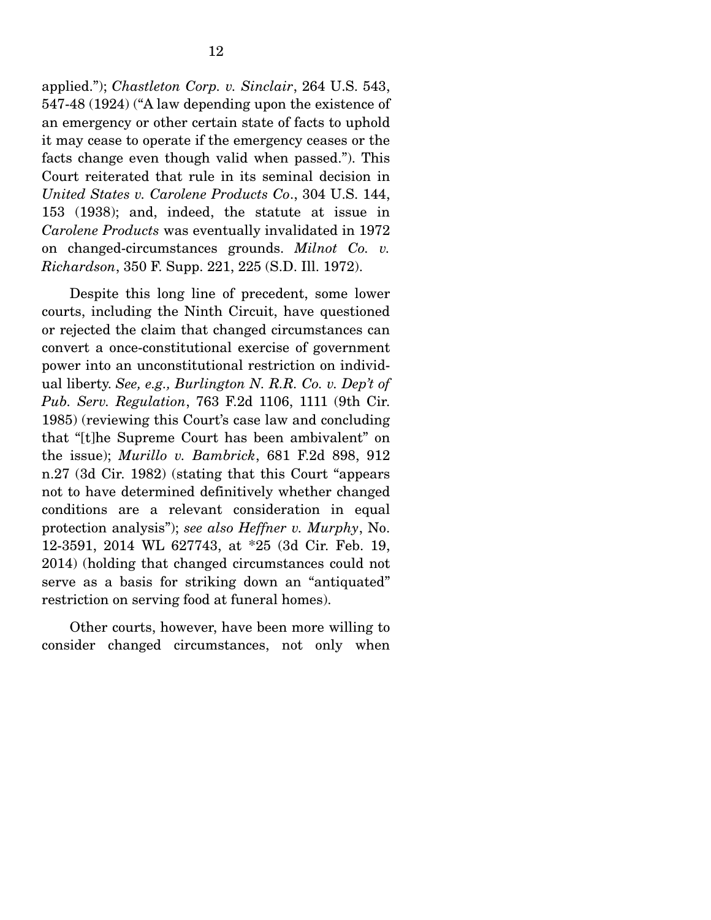applied."); *Chastleton Corp. v. Sinclair*, 264 U.S. 543, 547-48 (1924) ("A law depending upon the existence of an emergency or other certain state of facts to uphold it may cease to operate if the emergency ceases or the facts change even though valid when passed."). This Court reiterated that rule in its seminal decision in *United States v. Carolene Products Co*., 304 U.S. 144, 153 (1938); and, indeed, the statute at issue in *Carolene Products* was eventually invalidated in 1972 on changed-circumstances grounds. *Milnot Co. v. Richardson*, 350 F. Supp. 221, 225 (S.D. Ill. 1972).

 Despite this long line of precedent, some lower courts, including the Ninth Circuit, have questioned or rejected the claim that changed circumstances can convert a once-constitutional exercise of government power into an unconstitutional restriction on individual liberty. *See, e.g., Burlington N. R.R. Co. v. Dep't of Pub. Serv. Regulation*, 763 F.2d 1106, 1111 (9th Cir. 1985) (reviewing this Court's case law and concluding that "[t]he Supreme Court has been ambivalent" on the issue); *Murillo v. Bambrick*, 681 F.2d 898, 912 n.27 (3d Cir. 1982) (stating that this Court "appears not to have determined definitively whether changed conditions are a relevant consideration in equal protection analysis"); *see also Heffner v. Murphy*, No. 12-3591, 2014 WL 627743, at \*25 (3d Cir. Feb. 19, 2014) (holding that changed circumstances could not serve as a basis for striking down an "antiquated" restriction on serving food at funeral homes).

 Other courts, however, have been more willing to consider changed circumstances, not only when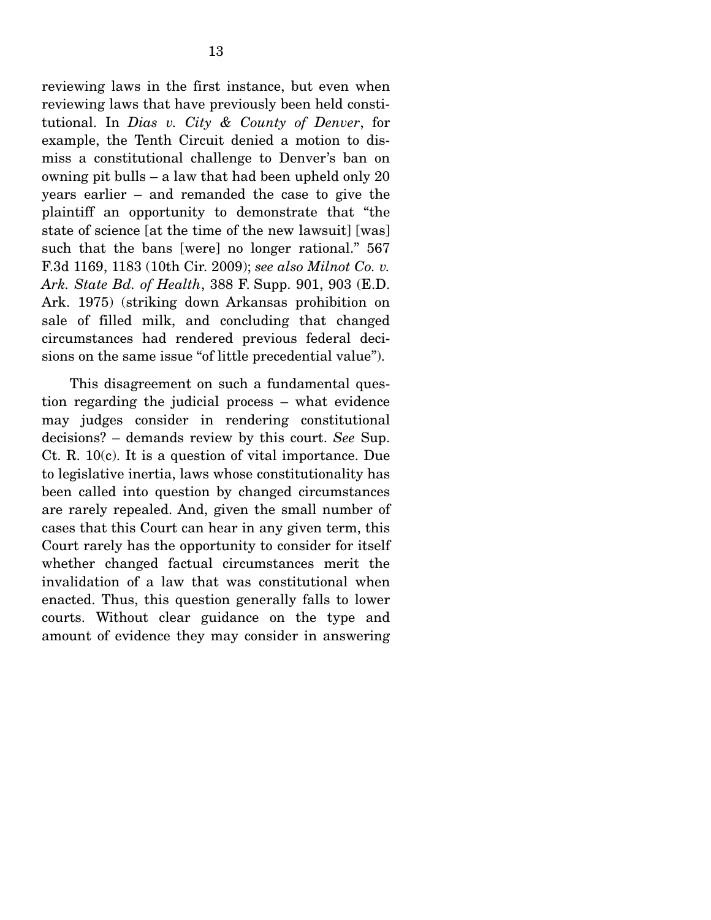reviewing laws in the first instance, but even when reviewing laws that have previously been held constitutional. In *Dias v. City & County of Denver*, for example, the Tenth Circuit denied a motion to dismiss a constitutional challenge to Denver's ban on owning pit bulls – a law that had been upheld only 20 years earlier – and remanded the case to give the plaintiff an opportunity to demonstrate that "the state of science [at the time of the new lawsuit] [was] such that the bans [were] no longer rational." 567 F.3d 1169, 1183 (10th Cir. 2009); *see also Milnot Co. v. Ark. State Bd. of Health*, 388 F. Supp. 901, 903 (E.D. Ark. 1975) (striking down Arkansas prohibition on sale of filled milk, and concluding that changed circumstances had rendered previous federal decisions on the same issue "of little precedential value").

 This disagreement on such a fundamental question regarding the judicial process – what evidence may judges consider in rendering constitutional decisions? – demands review by this court. *See* Sup. Ct. R. 10(c). It is a question of vital importance. Due to legislative inertia, laws whose constitutionality has been called into question by changed circumstances are rarely repealed. And, given the small number of cases that this Court can hear in any given term, this Court rarely has the opportunity to consider for itself whether changed factual circumstances merit the invalidation of a law that was constitutional when enacted. Thus, this question generally falls to lower courts. Without clear guidance on the type and amount of evidence they may consider in answering